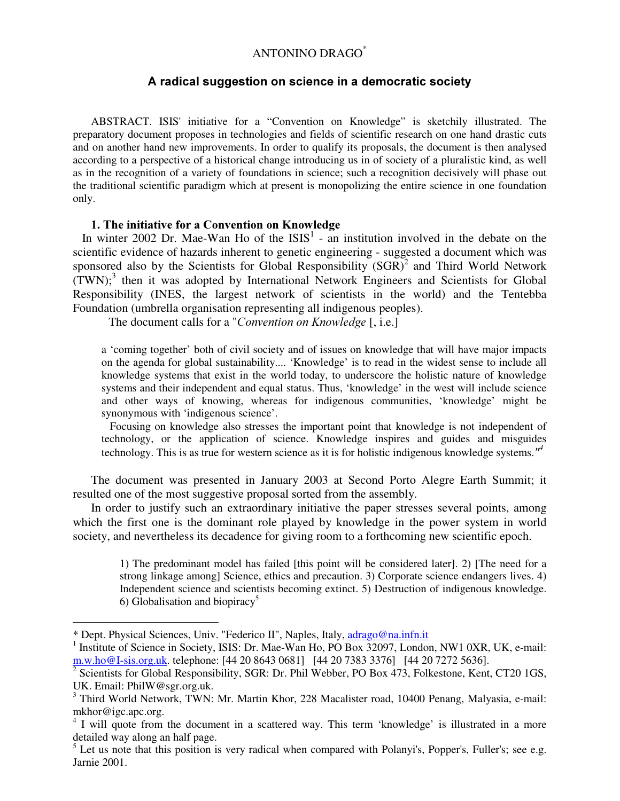## ANTONINO DRAGO \*

### A radical suggestion on science in a democratic society

ABSTRACT. ISIS' initiative for a "Convention on Knowledge" is sketchily illustrated. The preparatory document proposes in technologies and fields of scientific research on one hand drastic cuts and on another hand new improvements. In order to qualify its proposals, the document is then analysed according to a perspective of a historical change introducing us in of society of a pluralistic kind, as well as in the recognition of a variety of foundations in science; such a recognition decisively will phase out the traditional scientific paradigm which at present is monopolizing the entire science in one foundation only.

### 1. The initiative for a Convention on Knowledge

In winter 2002 Dr. Mae-Wan Ho of the  $ISIS<sup>1</sup>$  - an institution involved in the debate on the scientific evidence of hazards inherent to genetic engineering - suggested a document which was sponsored also by the Scientists for Global Responsibility  $(SGR)^2$  and Third World Network (TWN); 3 then it was adopted by International Network Engineers and Scientists for Global Responsibility (INES, the largest network of scientists in the world) and the Tentebba Foundation (umbrella organisation representing all indigenous peoples).

The document calls for a "Convention on Knowledge [, i.e.]

a 'coming together' both of civil society and of issues on knowledge that will have major impacts on the agenda for global sustainability.... 'Knowledge' is to read in the widest sense to include all knowledge systems that exist in the world today, to underscore the holistic nature of knowledge systems and their independent and equal status. Thus, 'knowledge' in the west will include science and other ways of knowing, whereas for indigenous communities, 'knowledge' might be synonymous with 'indigenous science'.

Focusing on knowledge also stresses the important point that knowledge is not independent of technology, or the application of science. Knowledge inspires and guides and misguides technology. This is as true for western science as it is for holistic indigenous knowledge systems.<sup> $H^4$ </sup>

The document was presented in January 2003 at Second Porto Alegre Earth Summit; it resulted one of the most suggestive proposal sorted from the assembly.

In order to justify such an extraordinary initiative the paper stresses several points, among which the first one is the dominant role played by knowledge in the power system in world society, and nevertheless its decadence for giving room to a forthcoming new scientific epoch.

1) The predominant model has failed [this point will be considered later]. 2) [The need for a strong linkage among] Science, ethics and precaution. 3) Corporate science endangers lives. 4) Independent science and scientists becoming extinct. 5) Destruction of indigenous knowledge. 6) Globalisation and biopiracy<sup>5</sup>

<sup>\*</sup> Dept. Physical Sciences, Univ. "Federico II", Naples, Italy, adrago@na.infn.it

<sup>&</sup>lt;sup>1</sup> Institute of Science in Society, ISIS: Dr. Mae-Wan Ho, PO Box 32097, London, NW1 0XR, UK, e-mail: m.w.ho@I-sis.org.uk. telephone: [44 20 8643 0681] [44 20 7383 3376] [44 20 7272 5636].

<sup>&</sup>lt;sup>2</sup> Scientists for Global Responsibility, SGR: Dr. Phil Webber, PO Box 473, Folkestone, Kent, CT20 1GS, UK. Email: PhilW@sgr.org.uk.

<sup>&</sup>lt;sup>3</sup> Third World Network, TWN: Mr. Martin Khor, 228 Macalister road, 10400 Penang, Malyasia, e-mail: mkhor@igc.apc.org.

<sup>&</sup>lt;sup>4</sup> I will quote from the document in a scattered way. This term 'knowledge' is illustrated in a more detailed way along an half page.

 $<sup>5</sup>$  Let us note that this position is very radical when compared with Polanyi's, Popper's, Fuller's; see e.g.</sup> Jarnie 2001.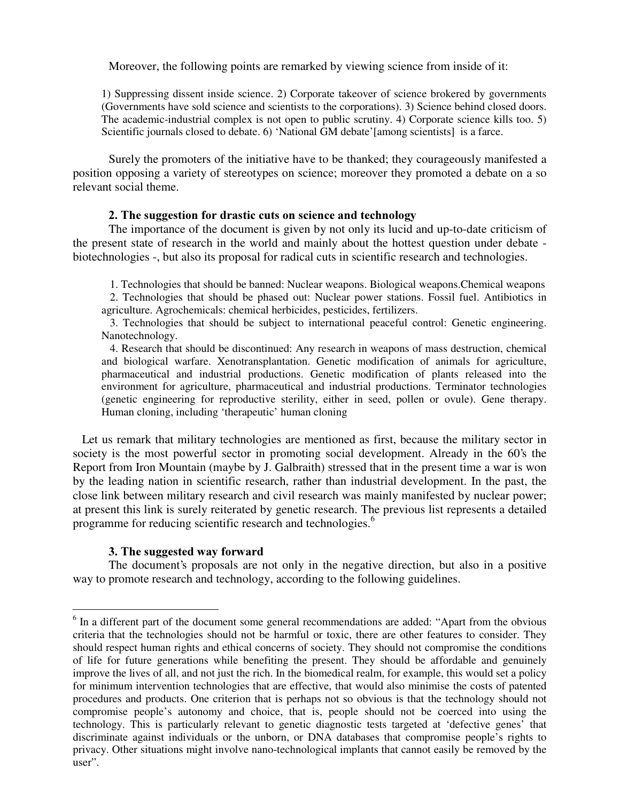Moreover, the following points are remarked by viewing science from inside of it:

1) Suppressing dissent inside science. 2) Corporate takeover of science brokered by governments (Governments have sold science and scientists to the corporations). 3) Science behind closed doors. The academic-industrial complex is not open to public scrutiny. 4) Corporate science kills too. 5) Scientific journals closed to debate. 6) 'National GM debate'[among scientists] is a farce.

Surely the promoters of the initiative have to be thanked; they courageously manifested a position opposing a variety of stereotypes on science; moreover they promoted a debate on a so relevant social theme.

### 2. The suggestion for drastic cuts on science and technology

The importance of the document is given by not only its lucid and up-to-date criticism of the present state of research in the world and mainly about the hottest question under debate biotechnologies -, but also its proposal for radical cuts in scientific research and technologies.

1. Technologies that should be banned: Nuclear weapons. Biological weapons.Chemical weapons 2. Technologies that should be phased out: Nuclear power stations. Fossil fuel. Antibiotics in

agriculture. Agrochemicals: chemical herbicides, pesticides, fertilizers.

3. Technologies that should be subject to international peaceful control: Genetic engineering. Nanotechnology.

4. Research that should be discontinued: Any research in weapons of mass destruction, chemical and biological warfare. Xenotransplantation. Genetic modification of animals for agriculture, pharmaceutical and industrial productions. Genetic modification of plants released into the environment for agriculture, pharmaceutical and industrial productions. Terminator technologies (genetic engineering for reproductive sterility, either in seed, pollen or ovule). Gene therapy. Human cloning, including 'therapeutic' human cloning

Let us remark that military technologies are mentioned as first, because the military sector in society is the most powerful sector in promoting social development. Already in the 60's the Report from Iron Mountain (maybe by J. Galbraith) stressed that in the present time a war is won by the leading nation in scientific research, rather than industrial development. In the past, the close link between military research and civil research was mainly manifested by nuclear power; at present this link is surely reiterated by genetic research. The previous list represents a detailed programme for reducing scientific research and technologies.<sup>6</sup>

### 3. The suggested way forward

The document's proposals are not only in the negative direction, but also in a positive way to promote research and technology, according to the following guidelines.

<sup>&</sup>lt;sup>6</sup> In a different part of the document some general recommendations are added: "Apart from the obvious criteria that the technologies should not be harmful or toxic, there are other features to consider. They should respect human rights and ethical concerns of society. They should not compromise the conditions of life for future generations while benefiting the present. They should be affordable and genuinely improve the lives of all, and not just the rich. In the biomedical realm, for example, this would set a policy for minimum intervention technologies that are effective, that would also minimise the costs of patented procedures and products. One criterion that is perhaps not so obvious is that the technology should not compromise people's autonomy and choice, that is, people should not be coerced into using the technology. This is particularly relevant to genetic diagnostic tests targeted at 'defective genes' that discriminate against individuals or the unborn, or DNA databases that compromise people's rights to privacy. Other situations might involve nano-technological implants that cannot easily be removed by the user".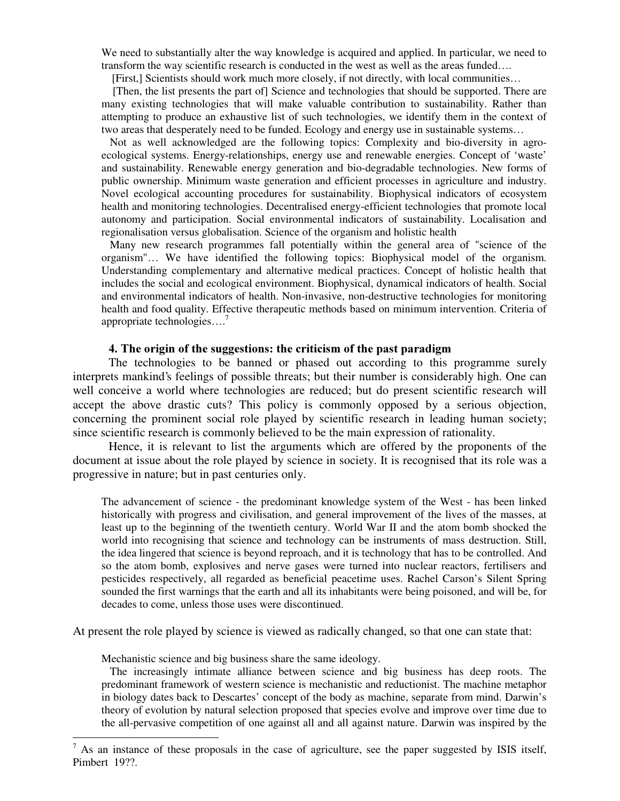We need to substantially alter the way knowledge is acquired and applied. In particular, we need to transform the way scientific research is conducted in the west as well as the areas funded….

[First,] Scientists should work much more closely, if not directly, with local communities…

[Then, the list presents the part of] Science and technologies that should be supported. There are many existing technologies that will make valuable contribution to sustainability. Rather than attempting to produce an exhaustive list of such technologies, we identify them in the context of two areas that desperately need to be funded. Ecology and energy use in sustainable systems…

Not as well acknowledged are the following topics: Complexity and bio-diversity in agroecological systems. Energy-relationships, energy use and renewable energies. Concept of 'waste' and sustainability. Renewable energy generation and bio-degradable technologies. New forms of public ownership. Minimum waste generation and efficient processes in agriculture and industry. Novel ecological accounting procedures for sustainability. Biophysical indicators of ecosystem health and monitoring technologies. Decentralised energy-efficient technologies that promote local autonomy and participation. Social environmental indicators of sustainability. Localisation and regionalisation versus globalisation. Science of the organism and holistic health

Many new research programmes fall potentially within the general area of "science of the organism"… We have identified the following topics: Biophysical model of the organism. Understanding complementary and alternative medical practices. Concept of holistic health that includes the social and ecological environment. Biophysical, dynamical indicators of health. Social and environmental indicators of health. Non-invasive, non-destructive technologies for monitoring health and food quality. Effective therapeutic methods based on minimum intervention. Criteria of appropriate technologies…. 7

#### 4. The origin of the suggestions: the criticism of the past paradigm

The technologies to be banned or phased out according to this programme surely interprets mankind's feelings of possible threats; but their number is considerably high. One can well conceive a world where technologies are reduced; but do present scientific research will accept the above drastic cuts? This policy is commonly opposed by a serious objection, concerning the prominent social role played by scientific research in leading human society; since scientific research is commonly believed to be the main expression of rationality.

Hence, it is relevant to list the arguments which are offered by the proponents of the document at issue about the role played by science in society. It is recognised that its role was a progressive in nature; but in past centuries only.

The advancement of science - the predominant knowledge system of the West - has been linked historically with progress and civilisation, and general improvement of the lives of the masses, at least up to the beginning of the twentieth century. World War II and the atom bomb shocked the world into recognising that science and technology can be instruments of mass destruction. Still, the idea lingered that science is beyond reproach, and it is technology that has to be controlled. And so the atom bomb, explosives and nerve gases were turned into nuclear reactors, fertilisers and pesticides respectively, all regarded as beneficial peacetime uses. Rachel Carson's Silent Spring sounded the first warnings that the earth and all its inhabitants were being poisoned, and will be, for decades to come, unless those uses were discontinued.

At present the role played by science is viewed as radically changed, so that one can state that:

Mechanistic science and big business share the same ideology.

The increasingly intimate alliance between science and big business has deep roots. The predominant framework of western science is mechanistic and reductionist. The machine metaphor in biology dates back to Descartes' concept of the body as machine, separate from mind. Darwin's theory of evolution by natural selection proposed that species evolve and improve over time due to the all-pervasive competition of one against all and all against nature. Darwin was inspired by the

 $<sup>7</sup>$  As an instance of these proposals in the case of agriculture, see the paper suggested by ISIS itself,</sup> Pimbert 19??.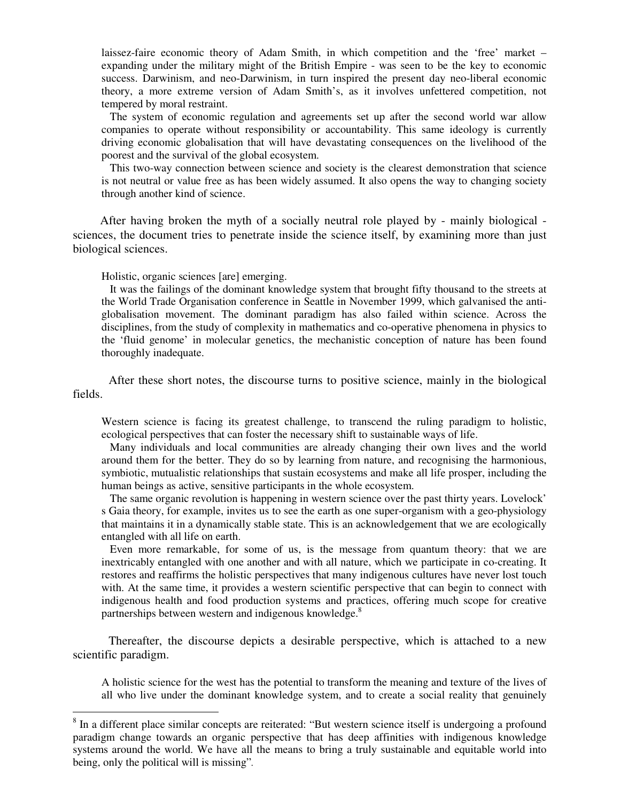laissez-faire economic theory of Adam Smith, in which competition and the 'free' market – expanding under the military might of the British Empire - was seen to be the key to economic success. Darwinism, and neo-Darwinism, in turn inspired the present day neo-liberal economic theory, a more extreme version of Adam Smith's, as it involves unfettered competition, not tempered by moral restraint.

The system of economic regulation and agreements set up after the second world war allow companies to operate without responsibility or accountability. This same ideology is currently driving economic globalisation that will have devastating consequences on the livelihood of the poorest and the survival of the global ecosystem.

This two-way connection between science and society is the clearest demonstration that science is not neutral or value free as has been widely assumed. It also opens the way to changing society through another kind of science.

After having broken the myth of a socially neutral role played by - mainly biological sciences, the document tries to penetrate inside the science itself, by examining more than just biological sciences.

Holistic, organic sciences [are] emerging.

It was the failings of the dominant knowledge system that brought fifty thousand to the streets at the World Trade Organisation conference in Seattle in November 1999, which galvanised the antiglobalisation movement. The dominant paradigm has also failed within science. Across the disciplines, from the study of complexity in mathematics and co-operative phenomena in physics to the 'fluid genome' in molecular genetics, the mechanistic conception of nature has been found thoroughly inadequate.

After these short notes, the discourse turns to positive science, mainly in the biological fields.

Western science is facing its greatest challenge, to transcend the ruling paradigm to holistic, ecological perspectives that can foster the necessary shift to sustainable ways of life.

Many individuals and local communities are already changing their own lives and the world around them for the better. They do so by learning from nature, and recognising the harmonious, symbiotic, mutualistic relationships that sustain ecosystems and make all life prosper, including the human beings as active, sensitive participants in the whole ecosystem.

The same organic revolution is happening in western science over the past thirty years. Lovelock' s Gaia theory, for example, invites us to see the earth as one super-organism with a geo-physiology that maintains it in a dynamically stable state. This is an acknowledgement that we are ecologically entangled with all life on earth.

Even more remarkable, for some of us, is the message from quantum theory: that we are inextricably entangled with one another and with all nature, which we participate in co-creating. It restores and reaffirms the holistic perspectives that many indigenous cultures have never lost touch with. At the same time, it provides a western scientific perspective that can begin to connect with indigenous health and food production systems and practices, offering much scope for creative partnerships between western and indigenous knowledge.<sup>8</sup>

Thereafter, the discourse depicts a desirable perspective, which is attached to a new scientific paradigm.

A holistic science for the west has the potential to transform the meaning and texture of the lives of all who live under the dominant knowledge system, and to create a social reality that genuinely

<sup>&</sup>lt;sup>8</sup> In a different place similar concepts are reiterated: "But western science itself is undergoing a profound paradigm change towards an organic perspective that has deep affinities with indigenous knowledge systems around the world. We have all the means to bring a truly sustainable and equitable world into being, only the political will is missing".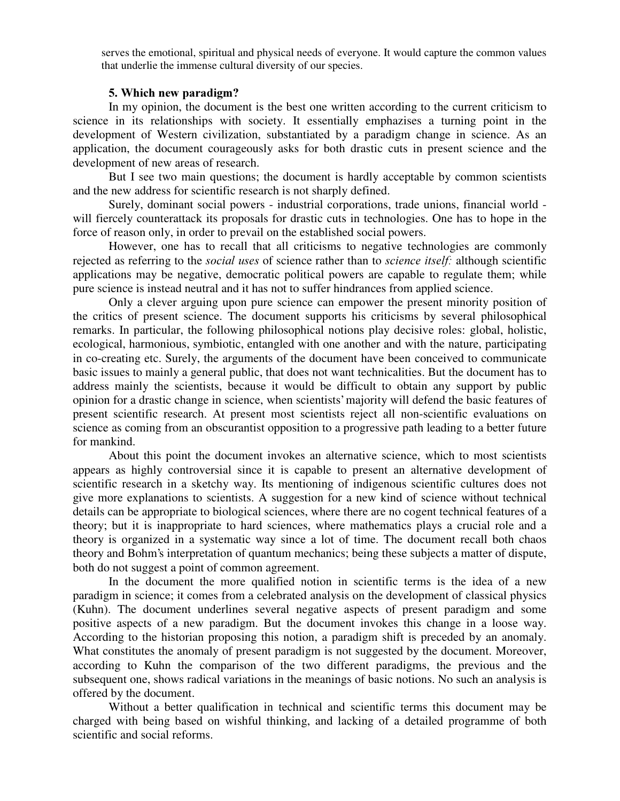serves the emotional, spiritual and physical needs of everyone. It would capture the common values that underlie the immense cultural diversity of our species.

#### 5. Which new paradigm?

In my opinion, the document is the best one written according to the current criticism to science in its relationships with society. It essentially emphazises a turning point in the development of Western civilization, substantiated by a paradigm change in science. As an application, the document courageously asks for both drastic cuts in present science and the development of new areas of research.

But I see two main questions; the document is hardly acceptable by common scientists and the new address for scientific research is not sharply defined.

Surely, dominant social powers - industrial corporations, trade unions, financial world will fiercely counterattack its proposals for drastic cuts in technologies. One has to hope in the force of reason only, in order to prevail on the established social powers.

However, one has to recall that all criticisms to negative technologies are commonly rejected as referring to the *social uses* of science rather than to *science itself:* although scientific applications may be negative, democratic political powers are capable to regulate them; while pure science is instead neutral and it has not to suffer hindrances from applied science.

Only a clever arguing upon pure science can empower the present minority position of the critics of present science. The document supports his criticisms by several philosophical remarks. In particular, the following philosophical notions play decisive roles: global, holistic, ecological, harmonious, symbiotic, entangled with one another and with the nature, participating in co-creating etc. Surely, the arguments of the document have been conceived to communicate basic issues to mainly a general public, that does not want technicalities. But the document has to address mainly the scientists, because it would be difficult to obtain any support by public opinion for a drastic change in science, when scientists'majority will defend the basic features of present scientific research. At present most scientists reject all non-scientific evaluations on science as coming from an obscurantist opposition to a progressive path leading to a better future for mankind.

About this point the document invokes an alternative science, which to most scientists appears as highly controversial since it is capable to present an alternative development of scientific research in a sketchy way. Its mentioning of indigenous scientific cultures does not give more explanations to scientists. A suggestion for a new kind of science without technical details can be appropriate to biological sciences, where there are no cogent technical features of a theory; but it is inappropriate to hard sciences, where mathematics plays a crucial role and a theory is organized in a systematic way since a lot of time. The document recall both chaos theory and Bohm's interpretation of quantum mechanics; being these subjects a matter of dispute, both do not suggest a point of common agreement.

In the document the more qualified notion in scientific terms is the idea of a new paradigm in science; it comes from a celebrated analysis on the development of classical physics (Kuhn). The document underlines several negative aspects of present paradigm and some positive aspects of a new paradigm. But the document invokes this change in a loose way. According to the historian proposing this notion, a paradigm shift is preceded by an anomaly. What constitutes the anomaly of present paradigm is not suggested by the document. Moreover, according to Kuhn the comparison of the two different paradigms, the previous and the subsequent one, shows radical variations in the meanings of basic notions. No such an analysis is offered by the document.

Without a better qualification in technical and scientific terms this document may be charged with being based on wishful thinking, and lacking of a detailed programme of both scientific and social reforms.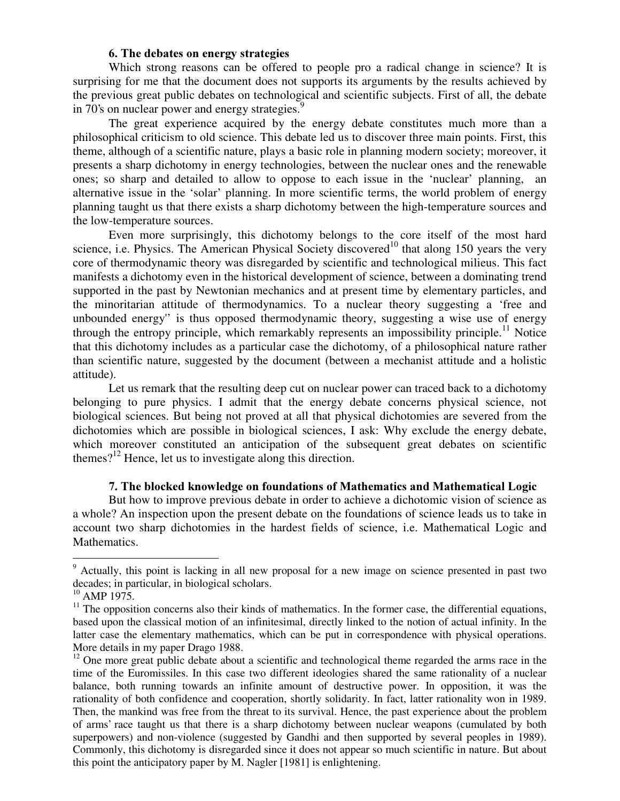### 6. The debates on energy strategies

Which strong reasons can be offered to people pro a radical change in science? It is surprising for me that the document does not supports its arguments by the results achieved by the previous great public debates on technological and scientific subjects. First of all, the debate in 70's on nuclear power and energy strategies.<sup>9</sup>

The great experience acquired by the energy debate constitutes much more than a philosophical criticism to old science. This debate led us to discover three main points. First, this theme, although of a scientific nature, plays a basic role in planning modern society; moreover, it presents a sharp dichotomy in energy technologies, between the nuclear ones and the renewable ones; so sharp and detailed to allow to oppose to each issue in the 'nuclear' planning, an alternative issue in the 'solar' planning. In more scientific terms, the world problem of energy planning taught us that there exists a sharp dichotomy between the high-temperature sources and the low-temperature sources.

Even more surprisingly, this dichotomy belongs to the core itself of the most hard science, i.e. Physics. The American Physical Society discovered<sup>10</sup> that along 150 years the very core of thermodynamic theory was disregarded by scientific and technological milieus. This fact manifests a dichotomy even in the historical development of science, between a dominating trend supported in the past by Newtonian mechanics and at present time by elementary particles, and the minoritarian attitude of thermodynamics. To a nuclear theory suggesting a 'free and unbounded energy'' is thus opposed thermodynamic theory, suggesting a wise use of energy through the entropy principle, which remarkably represents an impossibility principle.<sup>11</sup> Notice that this dichotomy includes as a particular case the dichotomy, of a philosophical nature rather than scientific nature, suggested by the document (between a mechanist attitude and a holistic attitude).

Let us remark that the resulting deep cut on nuclear power can traced back to a dichotomy belonging to pure physics. I admit that the energy debate concerns physical science, not biological sciences. But being not proved at all that physical dichotomies are severed from the dichotomies which are possible in biological sciences, I ask: Why exclude the energy debate, which moreover constituted an anticipation of the subsequent great debates on scientific themes?<sup>12</sup> Hence, let us to investigate along this direction.

### 7. The blocked knowledge on foundations of Mathematics and Mathematical Logic

But how to improve previous debate in order to achieve a dichotomic vision of science as a whole? An inspection upon the present debate on the foundations of science leads us to take in account two sharp dichotomies in the hardest fields of science, i.e. Mathematical Logic and Mathematics.

<sup>&</sup>lt;sup>9</sup> Actually, this point is lacking in all new proposal for a new image on science presented in past two decades; in particular, in biological scholars.

 $10$  AMP 1975.

 $11$  The opposition concerns also their kinds of mathematics. In the former case, the differential equations, based upon the classical motion of an infinitesimal, directly linked to the notion of actual infinity. In the latter case the elementary mathematics, which can be put in correspondence with physical operations. More details in my paper Drago 1988.

 $12$  One more great public debate about a scientific and technological theme regarded the arms race in the time of the Euromissiles. In this case two different ideologies shared the same rationality of a nuclear balance, both running towards an infinite amount of destructive power. In opposition, it was the rationality of both confidence and cooperation, shortly solidarity. In fact, latter rationality won in 1989. Then, the mankind was free from the threat to its survival. Hence, the past experience about the problem of arms' race taught us that there is a sharp dichotomy between nuclear weapons (cumulated by both superpowers) and non-violence (suggested by Gandhi and then supported by several peoples in 1989). Commonly, this dichotomy is disregarded since it does not appear so much scientific in nature. But about this point the anticipatory paper by M. Nagler [1981] is enlightening.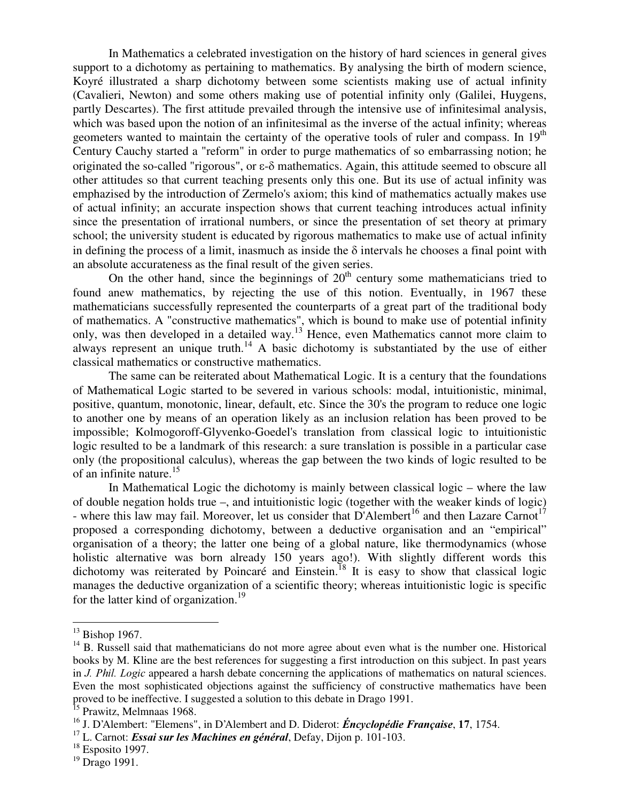In Mathematics a celebrated investigation on the history of hard sciences in general gives support to a dichotomy as pertaining to mathematics. By analysing the birth of modern science, Koyré illustrated a sharp dichotomy between some scientists making use of actual infinity (Cavalieri, Newton) and some others making use of potential infinity only (Galilei, Huygens, partly Descartes). The first attitude prevailed through the intensive use of infinitesimal analysis, which was based upon the notion of an infinitesimal as the inverse of the actual infinity; whereas geometers wanted to maintain the certainty of the operative tools of ruler and compass. In 19<sup>th</sup> Century Cauchy started a "reform" in order to purge mathematics of so embarrassing notion; he originated the so-called "rigorous", or  $\varepsilon$ - $\delta$  mathematics. Again, this attitude seemed to obscure all other attitudes so that current teaching presents only this one. But its use of actual infinity was emphazised by the introduction of Zermelo's axiom; this kind of mathematics actually makes use of actual infinity; an accurate inspection shows that current teaching introduces actual infinity since the presentation of irrational numbers, or since the presentation of set theory at primary school; the university student is educated by rigorous mathematics to make use of actual infinity in defining the process of a limit, inasmuch as inside the  $\delta$  intervals he chooses a final point with an absolute accurateness as the final result of the given series.

On the other hand, since the beginnings of  $20<sup>th</sup>$  century some mathematicians tried to found anew mathematics, by rejecting the use of this notion. Eventually, in 1967 these mathematicians successfully represented the counterparts of a great part of the traditional body of mathematics. A "constructive mathematics", which is bound to make use of potential infinity only, was then developed in a detailed way.<sup>13</sup> Hence, even Mathematics cannot more claim to always represent an unique truth.<sup>14</sup> A basic dichotomy is substantiated by the use of either classical mathematics or constructive mathematics.

The same can be reiterated about Mathematical Logic. It is a century that the foundations of Mathematical Logic started to be severed in various schools: modal, intuitionistic, minimal, positive, quantum, monotonic, linear, default, etc. Since the 30's the program to reduce one logic to another one by means of an operation likely as an inclusion relation has been proved to be impossible; Kolmogoroff-Glyvenko-Goedel's translation from classical logic to intuitionistic logic resulted to be a landmark of this research: a sure translation is possible in a particular case only (the propositional calculus), whereas the gap between the two kinds of logic resulted to be of an infinite nature. 15

In Mathematical Logic the dichotomy is mainly between classical logic – where the law of double negation holds true –, and intuitionistic logic (together with the weaker kinds of logic) - where this law may fail. Moreover, let us consider that D'Alembert<sup>16</sup> and then Lazare Carnot<sup>17</sup> proposed a corresponding dichotomy, between a deductive organisation and an "empirical" organisation of a theory; the latter one being of a global nature, like thermodynamics (whose holistic alternative was born already 150 years ago!). With slightly different words this dichotomy was reiterated by Poincaré and Einstein.<sup>18</sup> It is easy to show that classical logic manages the deductive organization of a scientific theory; whereas intuitionistic logic is specific for the latter kind of organization. 19

 $13$  Bishop 1967.

 $14$  B. Russell said that mathematicians do not more agree about even what is the number one. Historical books by M. Kline are the best references for suggesting a first introduction on this subject. In past years in J. Phil. Logic appeared a harsh debate concerning the applications of mathematics on natural sciences. Even the most sophisticated objections against the sufficiency of constructive mathematics have been proved to be ineffective. I suggested a solution to this debate in Drago 1991. 15 Prawitz, Melmnaas 1968.

<sup>&</sup>lt;sup>16</sup> J. D'Alembert: "Elemens", in D'Alembert and D. Diderot: *Éncyclopédie Française*, 17, 1754.

<sup>&</sup>lt;sup>17</sup> L. Carnot: *Essai sur les Machines en général*, Defay, Dijon p. 101-103.

 $18$  Esposito 1997.

<sup>&</sup>lt;sup>19</sup> Drago 1991.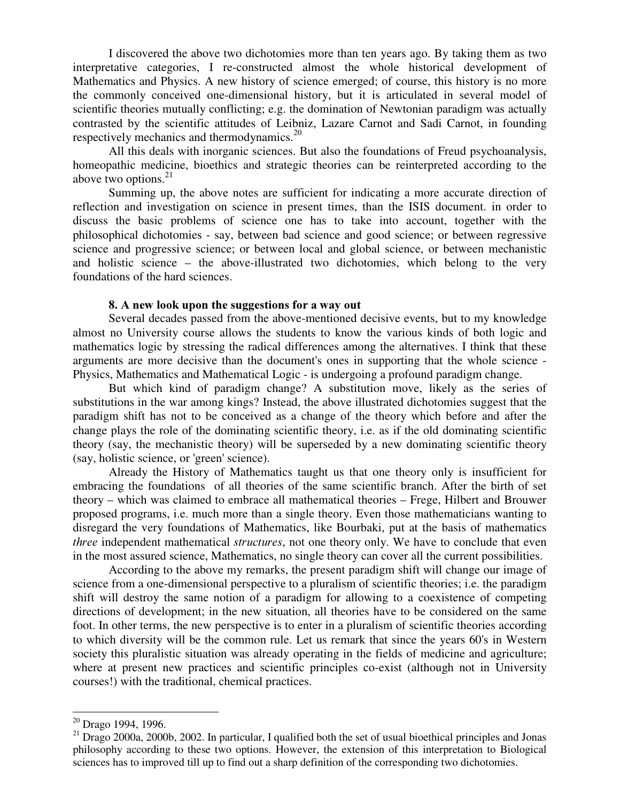I discovered the above two dichotomies more than ten years ago. By taking them as two interpretative categories, I re-constructed almost the whole historical development of Mathematics and Physics. A new history of science emerged; of course, this history is no more the commonly conceived one-dimensional history, but it is articulated in several model of scientific theories mutually conflicting; e.g. the domination of Newtonian paradigm was actually contrasted by the scientific attitudes of Leibniz, Lazare Carnot and Sadi Carnot, in founding respectively mechanics and thermodynamics.<sup>20</sup>

All this deals with inorganic sciences. But also the foundations of Freud psychoanalysis, homeopathic medicine, bioethics and strategic theories can be reinterpreted according to the above two options. 21

Summing up, the above notes are sufficient for indicating a more accurate direction of reflection and investigation on science in present times, than the ISIS document. in order to discuss the basic problems of science one has to take into account, together with the philosophical dichotomies - say, between bad science and good science; or between regressive science and progressive science; or between local and global science, or between mechanistic and holistic science – the above-illustrated two dichotomies, which belong to the very foundations of the hard sciences.

#### 8. A new look upon the suggestions for a way out

Several decades passed from the above-mentioned decisive events, but to my knowledge almost no University course allows the students to know the various kinds of both logic and mathematics logic by stressing the radical differences among the alternatives. I think that these arguments are more decisive than the document's ones in supporting that the whole science - Physics, Mathematics and Mathematical Logic - is undergoing a profound paradigm change.

But which kind of paradigm change? A substitution move, likely as the series of substitutions in the war among kings? Instead, the above illustrated dichotomies suggest that the paradigm shift has not to be conceived as a change of the theory which before and after the change plays the role of the dominating scientific theory, i.e. as if the old dominating scientific theory (say, the mechanistic theory) will be superseded by a new dominating scientific theory (say, holistic science, or 'green'science).

Already the History of Mathematics taught us that one theory only is insufficient for embracing the foundations of all theories of the same scientific branch. After the birth of set theory – which was claimed to embrace all mathematical theories – Frege, Hilbert and Brouwer proposed programs, i.e. much more than a single theory. Even those mathematicians wanting to disregard the very foundations of Mathematics, like Bourbaki, put at the basis of mathematics three independent mathematical *structures*, not one theory only. We have to conclude that even in the most assured science, Mathematics, no single theory can cover all the current possibilities.

According to the above my remarks, the present paradigm shift will change our image of science from a one-dimensional perspective to a pluralism of scientific theories; i.e. the paradigm shift will destroy the same notion of a paradigm for allowing to a coexistence of competing directions of development; in the new situation, all theories have to be considered on the same foot. In other terms, the new perspective is to enter in a pluralism of scientific theories according to which diversity will be the common rule. Let us remark that since the years 60's in Western society this pluralistic situation was already operating in the fields of medicine and agriculture; where at present new practices and scientific principles co-exist (although not in University courses!) with the traditional, chemical practices.

<sup>&</sup>lt;sup>20</sup> Drago 1994, 1996.

 $^{21}$  Drago 2000a, 2000b, 2002. In particular, I qualified both the set of usual bioethical principles and Jonas philosophy according to these two options. However, the extension of this interpretation to Biological sciences has to improved till up to find out a sharp definition of the corresponding two dichotomies.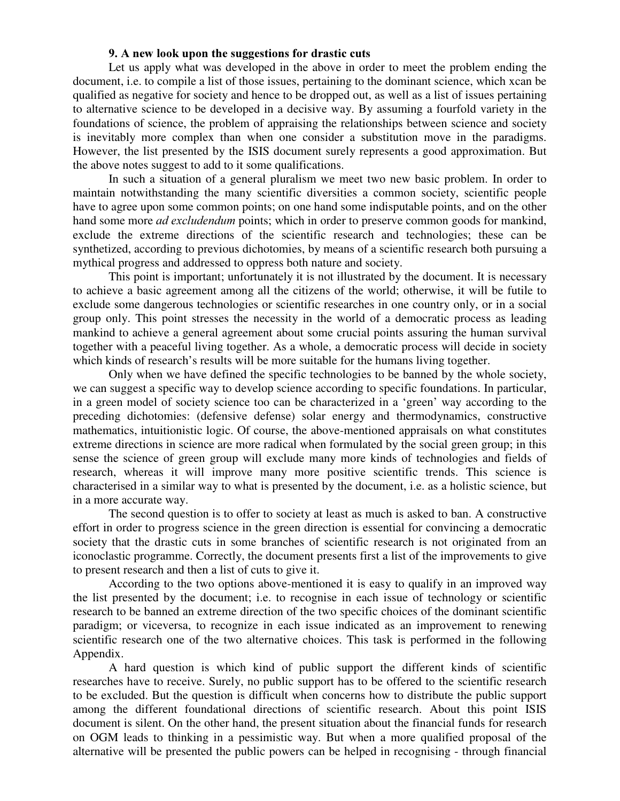### 9. A new look upon the suggestions for drastic cuts

Let us apply what was developed in the above in order to meet the problem ending the document, i.e. to compile a list of those issues, pertaining to the dominant science, which xcan be qualified as negative for society and hence to be dropped out, as well as a list of issues pertaining to alternative science to be developed in a decisive way. By assuming a fourfold variety in the foundations of science, the problem of appraising the relationships between science and society is inevitably more complex than when one consider a substitution move in the paradigms. However, the list presented by the ISIS document surely represents a good approximation. But the above notes suggest to add to it some qualifications.

In such a situation of a general pluralism we meet two new basic problem. In order to maintain notwithstanding the many scientific diversities a common society, scientific people have to agree upon some common points; on one hand some indisputable points, and on the other hand some more *ad excludendum* points; which in order to preserve common goods for mankind, exclude the extreme directions of the scientific research and technologies; these can be synthetized, according to previous dichotomies, by means of a scientific research both pursuing a mythical progress and addressed to oppress both nature and society.

This point is important; unfortunately it is not illustrated by the document. It is necessary to achieve a basic agreement among all the citizens of the world; otherwise, it will be futile to exclude some dangerous technologies or scientific researches in one country only, or in a social group only. This point stresses the necessity in the world of a democratic process as leading mankind to achieve a general agreement about some crucial points assuring the human survival together with a peaceful living together. As a whole, a democratic process will decide in society which kinds of research's results will be more suitable for the humans living together.

Only when we have defined the specific technologies to be banned by the whole society, we can suggest a specific way to develop science according to specific foundations. In particular, in a green model of society science too can be characterized in a 'green' way according to the preceding dichotomies: (defensive defense) solar energy and thermodynamics, constructive mathematics, intuitionistic logic. Of course, the above-mentioned appraisals on what constitutes extreme directions in science are more radical when formulated by the social green group; in this sense the science of green group will exclude many more kinds of technologies and fields of research, whereas it will improve many more positive scientific trends. This science is characterised in a similar way to what is presented by the document, i.e. as a holistic science, but in a more accurate way.

The second question is to offer to society at least as much is asked to ban. A constructive effort in order to progress science in the green direction is essential for convincing a democratic society that the drastic cuts in some branches of scientific research is not originated from an iconoclastic programme. Correctly, the document presents first a list of the improvements to give to present research and then a list of cuts to give it.

According to the two options above-mentioned it is easy to qualify in an improved way the list presented by the document; i.e. to recognise in each issue of technology or scientific research to be banned an extreme direction of the two specific choices of the dominant scientific paradigm; or viceversa, to recognize in each issue indicated as an improvement to renewing scientific research one of the two alternative choices. This task is performed in the following Appendix.

A hard question is which kind of public support the different kinds of scientific researches have to receive. Surely, no public support has to be offered to the scientific research to be excluded. But the question is difficult when concerns how to distribute the public support among the different foundational directions of scientific research. About this point ISIS document is silent. On the other hand, the present situation about the financial funds for research on OGM leads to thinking in a pessimistic way. But when a more qualified proposal of the alternative will be presented the public powers can be helped in recognising - through financial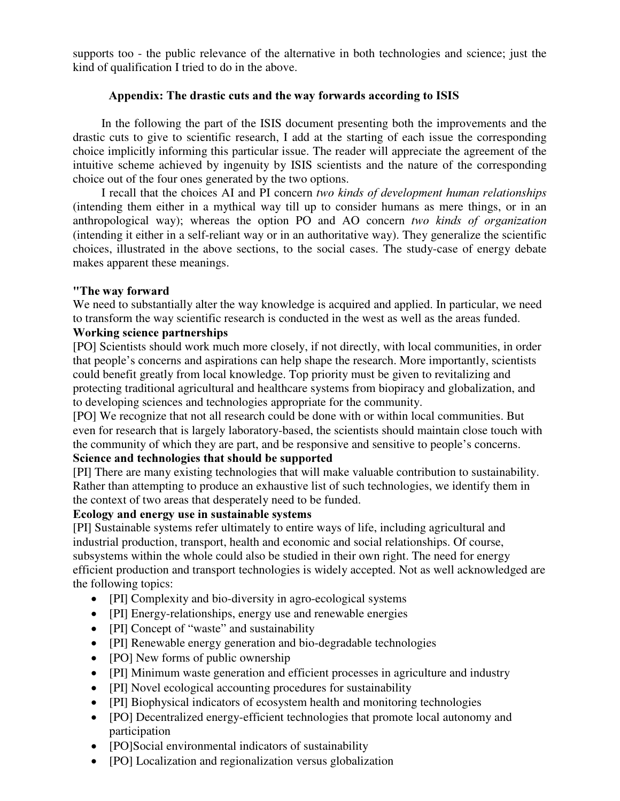supports too - the public relevance of the alternative in both technologies and science; just the kind of qualification I tried to do in the above.

### Appendix: The drastic cuts and the way forwards according to ISIS

In the following the part of the ISIS document presenting both the improvements and the drastic cuts to give to scientific research, I add at the starting of each issue the corresponding choice implicitly informing this particular issue. The reader will appreciate the agreement of the intuitive scheme achieved by ingenuity by ISIS scientists and the nature of the corresponding choice out of the four ones generated by the two options.

I recall that the choices AI and PI concern two kinds of development human relationships (intending them either in a mythical way till up to consider humans as mere things, or in an anthropological way); whereas the option PO and AO concern two kinds of organization (intending it either in a self-reliant way or in an authoritative way). They generalize the scientific choices, illustrated in the above sections, to the social cases. The study-case of energy debate makes apparent these meanings.

### "The way forward

We need to substantially alter the way knowledge is acquired and applied. In particular, we need to transform the way scientific research is conducted in the west as well as the areas funded.

## Working science partnerships

[PO] Scientists should work much more closely, if not directly, with local communities, in order that people's concerns and aspirations can help shape the research. More importantly, scientists could benefit greatly from local knowledge. Top priority must be given to revitalizing and protecting traditional agricultural and healthcare systems from biopiracy and globalization, and to developing sciences and technologies appropriate for the community.

[PO] We recognize that not all research could be done with or within local communities. But even for research that is largely laboratory-based, the scientists should maintain close touch with the community of which they are part, and be responsive and sensitive to people's concerns.

## Science and technologies that should be supported

[PI] There are many existing technologies that will make valuable contribution to sustainability. Rather than attempting to produce an exhaustive list of such technologies, we identify them in the context of two areas that desperately need to be funded.

## Ecology and energy use in sustainable systems

[PI] Sustainable systems refer ultimately to entire ways of life, including agricultural and industrial production, transport, health and economic and social relationships. Of course, subsystems within the whole could also be studied in their own right. The need for energy efficient production and transport technologies is widely accepted. Not as well acknowledged are the following topics:

- [PI] Complexity and bio-diversity in agro-ecological systems
- [PI] Energy-relationships, energy use and renewable energies
- [PI] Concept of "waste" and sustainability
- [PI] Renewable energy generation and bio-degradable technologies
- [PO] New forms of public ownership
- [PI] Minimum waste generation and efficient processes in agriculture and industry
- [PI] Novel ecological accounting procedures for sustainability
- [PI] Biophysical indicators of ecosystem health and monitoring technologies
- [PO] Decentralized energy-efficient technologies that promote local autonomy and participation
- [PO]Social environmental indicators of sustainability
- [PO] Localization and regionalization versus globalization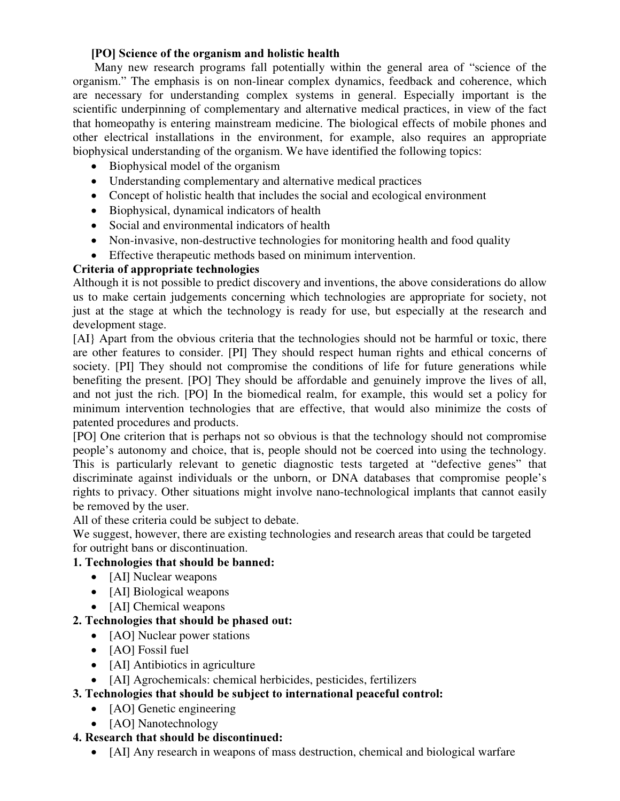## [PO] Science of the organism and holistic health

Many new research programs fall potentially within the general area of "science of the organism." The emphasis is on non-linear complex dynamics, feedback and coherence, which are necessary for understanding complex systems in general. Especially important is the scientific underpinning of complementary and alternative medical practices, in view of the fact that homeopathy is entering mainstream medicine. The biological effects of mobile phones and other electrical installations in the environment, for example, also requires an appropriate biophysical understanding of the organism. We have identified the following topics:

- Biophysical model of the organism
- Understanding complementary and alternative medical practices
- Concept of holistic health that includes the social and ecological environment
- Biophysical, dynamical indicators of health
- Social and environmental indicators of health
- Non-invasive, non-destructive technologies for monitoring health and food quality
- Effective therapeutic methods based on minimum intervention.

## Criteria of appropriate technologies

Although it is not possible to predict discovery and inventions, the above considerations do allow us to make certain judgements concerning which technologies are appropriate for society, not just at the stage at which the technology is ready for use, but especially at the research and development stage.

[AI} Apart from the obvious criteria that the technologies should not be harmful or toxic, there are other features to consider. [PI] They should respect human rights and ethical concerns of society. [PI] They should not compromise the conditions of life for future generations while benefiting the present. [PO] They should be affordable and genuinely improve the lives of all, and not just the rich. [PO] In the biomedical realm, for example, this would set a policy for minimum intervention technologies that are effective, that would also minimize the costs of patented procedures and products.

[PO] One criterion that is perhaps not so obvious is that the technology should not compromise people's autonomy and choice, that is, people should not be coerced into using the technology. This is particularly relevant to genetic diagnostic tests targeted at "defective genes" that discriminate against individuals or the unborn, or DNA databases that compromise people's rights to privacy. Other situations might involve nano-technological implants that cannot easily be removed by the user.

All of these criteria could be subject to debate.

We suggest, however, there are existing technologies and research areas that could be targeted for outright bans or discontinuation.

## 1. Technologies that should be banned:

- [AI] Nuclear weapons
- [AI] Biological weapons
- [AI] Chemical weapons

## 2. Technologies that should be phased out:

- [AO] Nuclear power stations
- $\bullet$  [AO] Fossil fuel
- [AI] Antibiotics in agriculture
- [AI] Agrochemicals: chemical herbicides, pesticides, fertilizers

# 3. Technologies that should be subject to international peaceful control:

- [AO] Genetic engineering
- [AO] Nanotechnology

## 4. Research that should be discontinued:

[AI] Any research in weapons of mass destruction, chemical and biological warfare